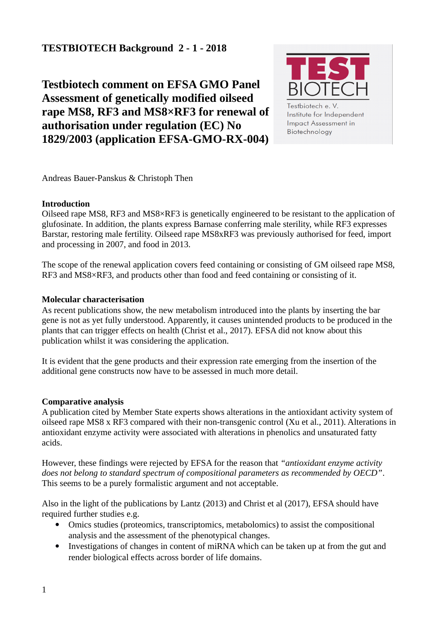# **TESTBIOTECH Background 2 - 1 - 2018**

**Testbiotech comment on EFSA GMO Panel Assessment of genetically modified oilseed rape MS8, RF3 and MS8×RF3 for renewal of authorisation under regulation (EC) No 1829/2003 (application EFSA-GMO-RX-004)**



Andreas Bauer-Panskus & Christoph Then

### **Introduction**

Oilseed rape MS8, RF3 and MS8×RF3 is genetically engineered to be resistant to the application of glufosinate. In addition, the plants express Barnase conferring male sterility, while RF3 expresses Barstar, restoring male fertility. Oilseed rape MS8xRF3 was previously authorised for feed, import and processing in 2007, and food in 2013.

The scope of the renewal application covers feed containing or consisting of GM oilseed rape MS8, RF3 and MS8×RF3, and products other than food and feed containing or consisting of it.

## **Molecular characterisation**

As recent publications show, the new metabolism introduced into the plants by inserting the bar gene is not as yet fully understood. Apparently, it causes unintended products to be produced in the plants that can trigger effects on health (Christ et al., 2017). EFSA did not know about this publication whilst it was considering the application.

It is evident that the gene products and their expression rate emerging from the insertion of the additional gene constructs now have to be assessed in much more detail.

# **Comparative analysis**

A publication cited by Member State experts shows alterations in the antioxidant activity system of oilseed rape MS8 x RF3 compared with their non-transgenic control (Xu et al., 2011). Alterations in antioxidant enzyme activity were associated with alterations in phenolics and unsaturated fatty acids.

However, these findings were rejected by EFSA for the reason that *"antioxidant enzyme activity does not belong to standard spectrum of compositional parameters as recommended by OECD"*. This seems to be a purely formalistic argument and not acceptable.

Also in the light of the publications by Lantz (2013) and Christ et al (2017), EFSA should have required further studies e.g.

- Omics studies (proteomics, transcriptomics, metabolomics) to assist the compositional analysis and the assessment of the phenotypical changes.
- Investigations of changes in content of miRNA which can be taken up at from the gut and render biological effects across border of life domains.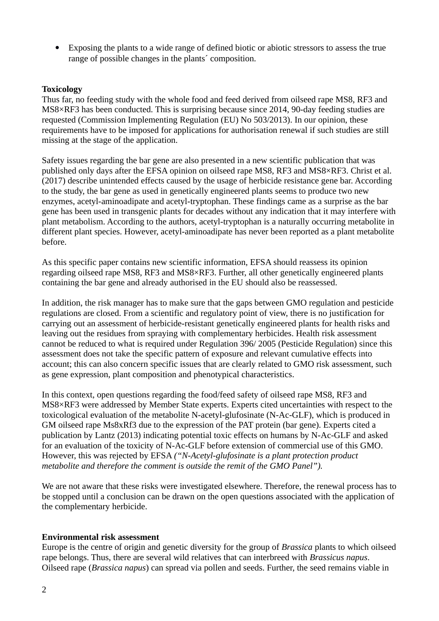Exposing the plants to a wide range of defined biotic or abiotic stressors to assess the true range of possible changes in the plants´ composition.

#### **Toxicology**

Thus far, no feeding study with the whole food and feed derived from oilseed rape MS8, RF3 and MS8×RF3 has been conducted. This is surprising because since 2014, 90-day feeding studies are requested (Commission Implementing Regulation (EU) No 503/2013). In our opinion, these requirements have to be imposed for applications for authorisation renewal if such studies are still missing at the stage of the application.

Safety issues regarding the bar gene are also presented in a new scientific publication that was published only days after the EFSA opinion on oilseed rape MS8, RF3 and MS8×RF3. Christ et al. (2017) describe unintended effects caused by the usage of herbicide resistance gene bar. According to the study, the bar gene as used in genetically engineered plants seems to produce two new enzymes, acetyl-aminoadipate and acetyl-tryptophan. These findings came as a surprise as the bar gene has been used in transgenic plants for decades without any indication that it may interfere with plant metabolism. According to the authors, acetyl-tryptophan is a naturally occurring metabolite in different plant species. However, acetyl-aminoadipate has never been reported as a plant metabolite before.

As this specific paper contains new scientific information, EFSA should reassess its opinion regarding oilseed rape MS8, RF3 and MS8×RF3. Further, all other genetically engineered plants containing the bar gene and already authorised in the EU should also be reassessed.

In addition, the risk manager has to make sure that the gaps between GMO regulation and pesticide regulations are closed. From a scientific and regulatory point of view, there is no justification for carrying out an assessment of herbicide-resistant genetically engineered plants for health risks and leaving out the residues from spraying with complementary herbicides. Health risk assessment cannot be reduced to what is required under Regulation 396/ 2005 (Pesticide Regulation) since this assessment does not take the specific pattern of exposure and relevant cumulative effects into account; this can also concern specific issues that are clearly related to GMO risk assessment, such as gene expression, plant composition and phenotypical characteristics.

In this context, open questions regarding the food/feed safety of oilseed rape MS8, RF3 and MS8×RF3 were addressed by Member State experts. Experts cited uncertainties with respect to the toxicological evaluation of the metabolite N-acetyl-glufosinate (N-Ac-GLF), which is produced in GM oilseed rape Ms8xRf3 due to the expression of the PAT protein (bar gene). Experts cited a publication by Lantz (2013) indicating potential toxic effects on humans by N-Ac-GLF and asked for an evaluation of the toxicity of N-Ac-GLF before extension of commercial use of this GMO. However, this was rejected by EFSA *("N-Acetyl-glufosinate is a plant protection product metabolite and therefore the comment is outside the remit of the GMO Panel").* 

We are not aware that these risks were investigated elsewhere. Therefore, the renewal process has to be stopped until a conclusion can be drawn on the open questions associated with the application of the complementary herbicide.

#### **Environmental risk assessment**

Europe is the centre of origin and genetic diversity for the group of *Brassica* plants to which oilseed rape belongs. Thus, there are several wild relatives that can interbreed with *Brassicus napus*. Oilseed rape (*Brassica napus*) can spread via pollen and seeds. Further, the seed remains viable in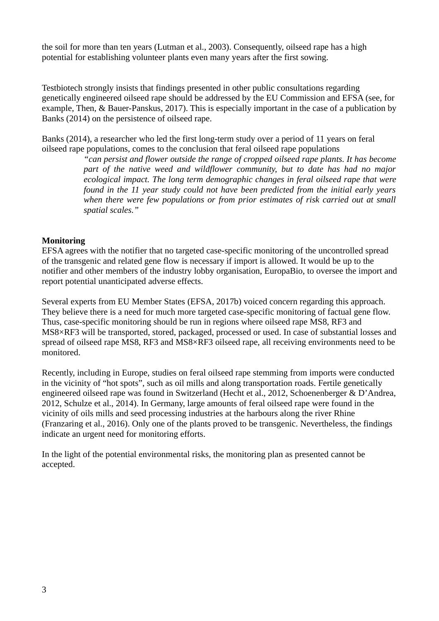the soil for more than ten years (Lutman et al., 2003). Consequently, oilseed rape has a high potential for establishing volunteer plants even many years after the first sowing.

Testbiotech strongly insists that findings presented in other public consultations regarding genetically engineered oilseed rape should be addressed by the EU Commission and EFSA (see, for example, Then, & Bauer-Panskus, 2017). This is especially important in the case of a publication by Banks (2014) on the persistence of oilseed rape.

Banks (2014), a researcher who led the first long-term study over a period of 11 years on feral oilseed rape populations, comes to the conclusion that feral oilseed rape populations

> *"can persist and flower outside the range of cropped oilseed rape plants. It has become part of the native weed and wildflower community, but to date has had no major ecological impact. The long term demographic changes in feral oilseed rape that were found in the 11 year study could not have been predicted from the initial early years when there were few populations or from prior estimates of risk carried out at small spatial scales."*

#### **Monitoring**

EFSA agrees with the notifier that no targeted case-specific monitoring of the uncontrolled spread of the transgenic and related gene flow is necessary if import is allowed. It would be up to the notifier and other members of the industry lobby organisation, EuropaBio, to oversee the import and report potential unanticipated adverse effects.

Several experts from EU Member States (EFSA, 2017b) voiced concern regarding this approach. They believe there is a need for much more targeted case-specific monitoring of factual gene flow. Thus, case-specific monitoring should be run in regions where oilseed rape MS8, RF3 and MS8×RF3 will be transported, stored, packaged, processed or used. In case of substantial losses and spread of oilseed rape MS8, RF3 and MS8×RF3 oilseed rape, all receiving environments need to be monitored.

Recently, including in Europe, studies on feral oilseed rape stemming from imports were conducted in the vicinity of "hot spots", such as oil mills and along transportation roads. Fertile genetically engineered oilseed rape was found in Switzerland (Hecht et al., 2012, Schoenenberger & D'Andrea, 2012, Schulze et al., 2014). In Germany, large amounts of feral oilseed rape were found in the vicinity of oils mills and seed processing industries at the harbours along the river Rhine (Franzaring et al., 2016). Only one of the plants proved to be transgenic. Nevertheless, the findings indicate an urgent need for monitoring efforts.

In the light of the potential environmental risks, the monitoring plan as presented cannot be accepted.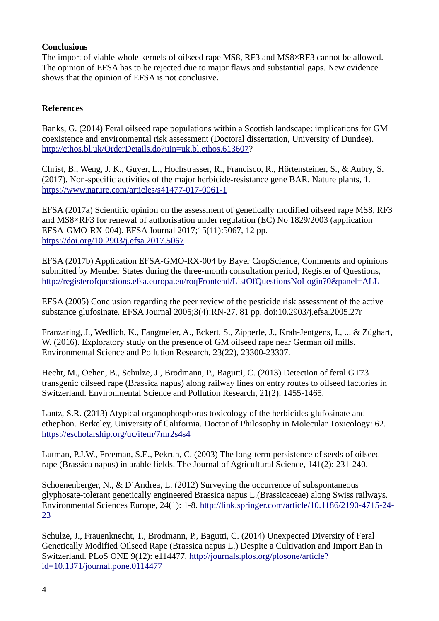### **Conclusions**

The import of viable whole kernels of oilseed rape MS8, RF3 and MS8×RF3 cannot be allowed. The opinion of EFSA has to be rejected due to major flaws and substantial gaps. New evidence shows that the opinion of EFSA is not conclusive.

### **References**

Banks, G. (2014) Feral oilseed rape populations within a Scottish landscape: implications for GM coexistence and environmental risk assessment (Doctoral dissertation, University of Dundee). [http://ethos.bl.uk/OrderDetails.do?uin=uk.bl.ethos.613607?](http://ethos.bl.uk/OrderDetails.do?uin=uk.bl.ethos.613607)

Christ, B., Weng, J. K., Guyer, L., Hochstrasser, R., Francisco, R., Hörtensteiner, S., & Aubry, S. (2017). Non-specific activities of the major herbicide-resistance gene BAR. Nature plants, 1. <https://www.nature.com/articles/s41477-017-0061-1>

EFSA (2017a) Scientific opinion on the assessment of genetically modified oilseed rape MS8, RF3 and MS8×RF3 for renewal of authorisation under regulation (EC) No 1829/2003 (application EFSA-GMO-RX-004). EFSA Journal 2017;15(11):5067, 12 pp. <https://doi.org/10.2903/j.efsa.2017.5067>

EFSA (2017b) Application EFSA-GMO-RX-004 by Bayer CropScience, Comments and opinions submitted by Member States during the three-month consultation period, Register of Questions, <http://registerofquestions.efsa.europa.eu/roqFrontend/ListOfQuestionsNoLogin?0&panel=ALL>

EFSA (2005) Conclusion regarding the peer review of the pesticide risk assessment of the active substance glufosinate. EFSA Journal 2005;3(4):RN-27, 81 pp. doi:10.2903/j.efsa.2005.27r

Franzaring, J., Wedlich, K., Fangmeier, A., Eckert, S., Zipperle, J., Krah-Jentgens, I., ... & Züghart, W. (2016). Exploratory study on the presence of GM oilseed rape near German oil mills. Environmental Science and Pollution Research, 23(22), 23300-23307.

Hecht, M., Oehen, B., Schulze, J., Brodmann, P., Bagutti, C. (2013) Detection of feral GT73 transgenic oilseed rape (Brassica napus) along railway lines on entry routes to oilseed factories in Switzerland. Environmental Science and Pollution Research, 21(2): 1455-1465.

Lantz, S.R. (2013) Atypical organophosphorus toxicology of the herbicides glufosinate and ethephon. Berkeley, University of California. Doctor of Philosophy in Molecular Toxicology: 62. <https://escholarship.org/uc/item/7mr2s4s4>

Lutman, P.J.W., Freeman, S.E., Pekrun, C. (2003) The long-term persistence of seeds of oilseed rape (Brassica napus) in arable fields. The Journal of Agricultural Science, 141(2): 231-240.

Schoenenberger, N., & D'Andrea, L. (2012) Surveying the occurrence of subspontaneous glyphosate-tolerant genetically engineered Brassica napus L.(Brassicaceae) along Swiss railways. Environmental Sciences Europe, 24(1): 1-8. [http://link.springer.com/article/10.1186/2190-4715-24-](http://link.springer.com/article/10.1186/2190-4715-24-23) [23](http://link.springer.com/article/10.1186/2190-4715-24-23)

Schulze, J., Frauenknecht, T., Brodmann, P., Bagutti, C. (2014) Unexpected Diversity of Feral Genetically Modified Oilseed Rape (Brassica napus L.) Despite a Cultivation and Import Ban in Switzerland. PLoS ONE 9(12): e114477. [http://journals.plos.org/plosone/article?](http://journals.plos.org/plosone/article?id=10.1371/journal.pone.0114477) [id=10.1371/journal.pone.0114477](http://journals.plos.org/plosone/article?id=10.1371/journal.pone.0114477)